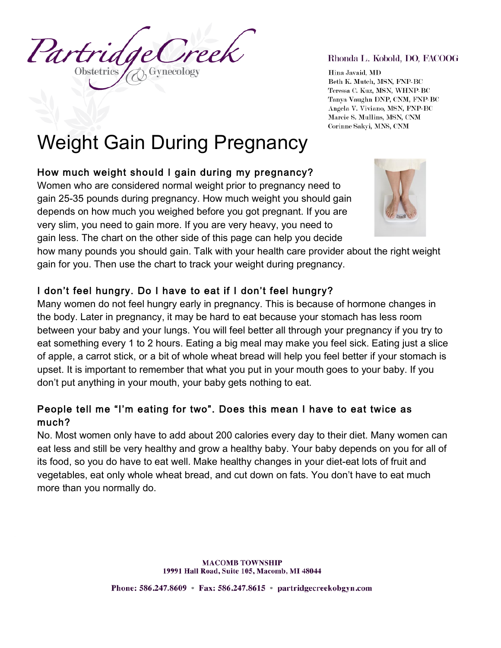Partri **Obstetrics** 

#### Rhonda L. Kobold, DO, FACOOG

Hina Javaid, MD Beth K. Mutch, MSN, FNP-BC Teressa C. Kuz, MSN, WHNP-BC Tanya Vaughn DNP, CNM, FNP-BC Angela V. Viviano, MSN, FNP-BC Marcie S. Mullins, MSN, CNM Corinne Sakyi, MNS, CNM

# Weight Gain During Pregnancy

# How much weight should I gain during my pregnancy?

Women who are considered normal weight prior to pregnancy need to gain 25-35 pounds during pregnancy. How much weight you should gain depends on how much you weighed before you got pregnant. If you are very slim, you need to gain more. If you are very heavy, you need to gain less. The chart on the other side of this page can help you decide



how many pounds you should gain. Talk with your health care provider about the right weight gain for you. Then use the chart to track your weight during pregnancy.

# I don't feel hungry. Do I have to eat if I don't feel hungry?

Many women do not feel hungry early in pregnancy. This is because of hormone changes in the body. Later in pregnancy, it may be hard to eat because your stomach has less room between your baby and your lungs. You will feel better all through your pregnancy if you try to eat something every 1 to 2 hours. Eating a big meal may make you feel sick. Eating just a slice of apple, a carrot stick, or a bit of whole wheat bread will help you feel better if your stomach is upset. It is important to remember that what you put in your mouth goes to your baby. If you don't put anything in your mouth, your baby gets nothing to eat.

# People tell me "I'm eating for two". Does this mean I have to eat twice as much?

No. Most women only have to add about 200 calories every day to their diet. Many women can eat less and still be very healthy and grow a healthy baby. Your baby depends on you for all of its food, so you do have to eat well. Make healthy changes in your diet-eat lots of fruit and vegetables, eat only whole wheat bread, and cut down on fats. You don't have to eat much more than you normally do.